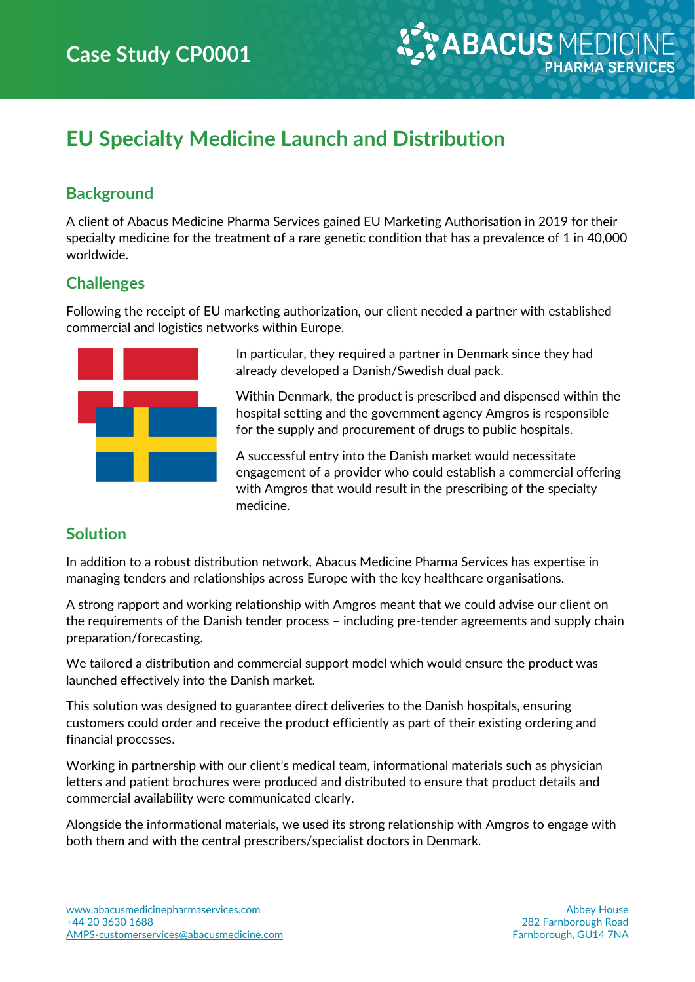# **EU Specialty Medicine Launch and Distribution**

### **Background**

A client of Abacus Medicine Pharma Services gained EU Marketing Authorisation in 2019 for their specialty medicine for the treatment of a rare genetic condition that has a prevalence of 1 in 40,000 worldwide.

#### **Challenges**

Following the receipt of EU marketing authorization, our client needed a partner with established commercial and logistics networks within Europe.



In particular, they required a partner in Denmark since they had already developed a Danish/Swedish dual pack.

Within Denmark, the product is prescribed and dispensed within the hospital setting and the government agency Amgros is responsible for the supply and procurement of drugs to public hospitals.

A successful entry into the Danish market would necessitate engagement of a provider who could establish a commercial offering with Amgros that would result in the prescribing of the specialty medicine.

#### **Solution**

In addition to a robust distribution network, Abacus Medicine Pharma Services has expertise in managing tenders and relationships across Europe with the key healthcare organisations.

A strong rapport and working relationship with Amgros meant that we could advise our client on the requirements of the Danish tender process – including pre-tender agreements and supply chain preparation/forecasting.

We tailored a distribution and commercial support model which would ensure the product was launched effectively into the Danish market.

This solution was designed to guarantee direct deliveries to the Danish hospitals, ensuring customers could order and receive the product efficiently as part of their existing ordering and financial processes.

Working in partnership with our client's medical team, informational materials such as physician letters and patient brochures were produced and distributed to ensure that product details and commercial availability were communicated clearly.

Alongside the informational materials, we used its strong relationship with Amgros to engage with both them and with the central prescribers/specialist doctors in Denmark.